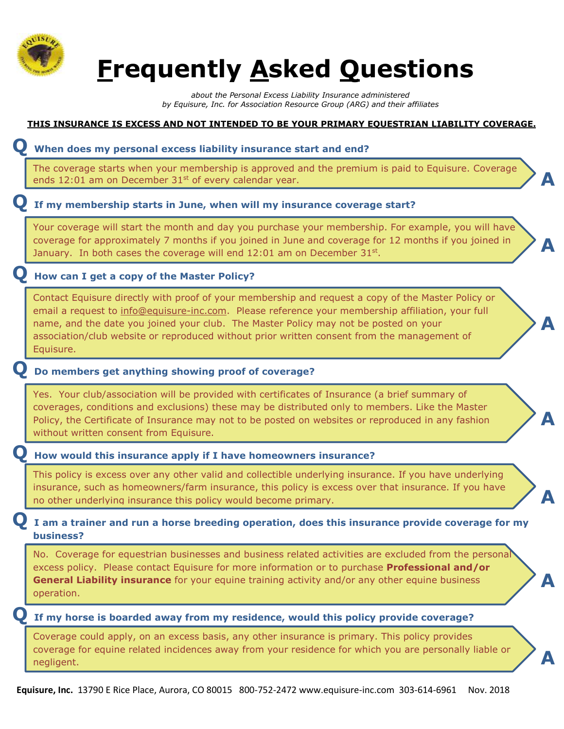

# **Frequently Asked Questions**

**THIS INSURANCE IS EXCESS AND NOT INTENDED TO BE YOUR PRIMARY EQUESTRIAN LIABILITY COVERAGE.** 

*about the Personal Excess Liability Insurance administered by Equisure, Inc. for Association Resource Group (ARG) and their affiliates*

## **Equisure, Inc.** 13790 E Rice Place, Aurora, CO 80015 800-752-2472 www.equisure-inc.com 303-614-6961 Nov. 2018 **Q When does my personal excess liability insurance start and end? A Q If my membership starts in June, when will my insurance coverage start? A Q How can I get a copy of the Master Policy? A Q Do members get anything showing proof of coverage? A Q How would this insurance apply if I have homeowners insurance? A Q I am a trainer and run a horse breeding operation, does this insurance provide coverage for my business? A Q If my horse is boarded away from my residence, would this policy provide coverage? A** The coverage starts when your membership is approved and the premium is paid to Equisure. Coverage ends  $12:01$  am on December  $31<sup>st</sup>$  of every calendar year. Your coverage will start the month and day you purchase your membership. For example, you will have coverage for approximately 7 months if you joined in June and coverage for 12 months if you joined in January. In both cases the coverage will end  $12:01$  am on December  $31^{st}$ . Contact Equisure directly with proof of your membership and request a copy of the Master Policy or email a request to [info@equisure-inc.com.](mailto:info@equisure-inc.com) Please reference your membership affiliation, your full name, and the date you joined your club. The Master Policy may not be posted on your association/club website or reproduced without prior written consent from the management of Equisure. Yes. Your club/association will be provided with certificates of Insurance (a brief summary of coverages, conditions and exclusions) these may be distributed only to members. Like the Master Policy, the Certificate of Insurance may not to be posted on websites or reproduced in any fashion without written consent from Equisure. This policy is excess over any other valid and collectible underlying insurance. If you have underlying insurance, such as homeowners/farm insurance, this policy is excess over that insurance. If you have no other underlying insurance this policy would become primary. No. Coverage for equestrian businesses and business related activities are excluded from the personal excess policy. Please contact Equisure for more information or to purchase **Professional and/or General Liability insurance** for your equine training activity and/or any other equine business operation. Coverage could apply, on an excess basis, any other insurance is primary. This policy provides coverage for equine related incidences away from your residence for which you are personally liable or negligent.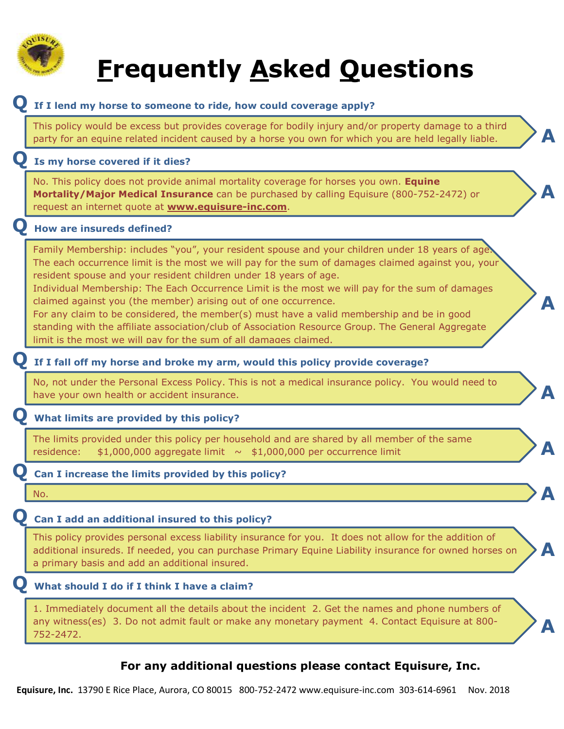

# **Frequently Asked Questions**

**A**

**A**

**A**

**A**

**A**

**A**

**A**

**A**

#### **Q If I lend my horse to someone to ride, how could coverage apply?**

This policy would be excess but provides coverage for bodily injury and/or property damage to a third party for an equine related incident caused by a horse you own for which you are held legally liable.

#### **Q Is my horse covered if it dies?**

No. This policy does not provide animal mortality coverage for horses you own. **Equine Mortality/Major Medical Insurance** can be purchased by calling Equisure (800-752-2472) or request an internet quote at **www.equisure-inc.com**.

#### **Q How are insureds defined?**

Family Membership: includes "you", your resident spouse and your children under 18 years of age The each occurrence limit is the most we will pay for the sum of damages claimed against you, your resident spouse and your resident children under 18 years of age.

Individual Membership: The Each Occurrence Limit is the most we will pay for the sum of damages claimed against you (the member) arising out of one occurrence.

For any claim to be considered, the member(s) must have a valid membership and be in good standing with the affiliate association/club of Association Resource Group. The General Aggregate limit is the most we will pay for the sum of all damages claimed.

#### **Q If I fall off my horse and broke my arm, would this policy provide coverage?**

No, not under the Personal Excess Policy. This is not a medical insurance policy. You would need to have your own health or accident insurance.

#### **Q What limits are provided by this policy?**

The limits provided under this policy per household and are shared by all member of the same residence:  $$1,000,000$  aggregate limit  $\sim $1,000,000$  per occurrence limit

#### **Q Can I increase the limits provided by this policy?**

No.

### **Q Can I add an additional insured to this policy?**

This policy provides personal excess liability insurance for you. It does not allow for the addition of additional insureds. If needed, you can purchase Primary Equine Liability insurance for owned horses on a primary basis and add an additional insured.

### **Q What should I do if I think I have a claim?**

1. Immediately document all the details about the incident 2. Get the names and phone numbers of any witness(es) 3. Do not admit fault or make any monetary payment 4. Contact Equisure at 800- 752-2472.

## **For any additional questions please contact Equisure, Inc.**